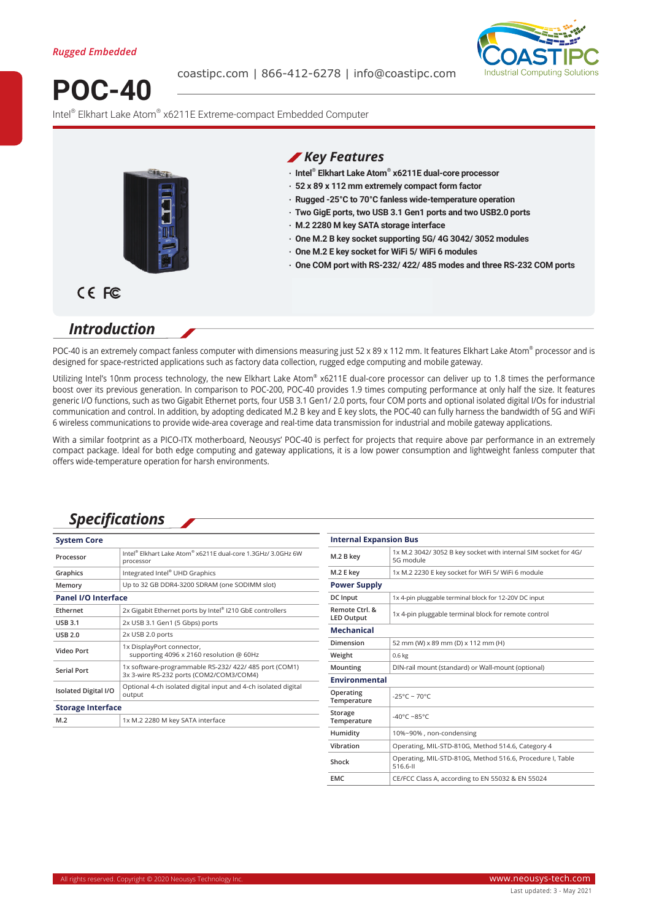

**POC-40**

coastipc.com | 866-412-6278 | info@coastipc.com



Intel® Elkhart Lake Atom® x6211E Extreme-compact Embedded Computer



#### *Key Features*

- **‧ Intel® Elkhart Lake Atom® x6211E dual-core processor**
- **‧ 52 x 89 x 112 mm extremely compact form factor**
- **‧ Rugged -25°C to 70°C fanless wide-temperature operation**
- **‧ Two GigE ports, two USB 3.1 Gen1 ports and two USB2.0 ports**
- **‧ M.2 2280 M key SATA storage interface**
- **‧ One M.2 B key socket supporting 5G/ 4G 3042/ 3052 modules**
- **‧ One M.2 E key socket for WiFi 5/ WiFi 6 modules**
- **‧ One COM port with RS-232/ 422/ 485 modes and three RS-232 COM ports**

# CE FC

### *Introduction*

POC-40 is an extremely compact fanless computer with dimensions measuring just 52 x 89 x 112 mm. It features Elkhart Lake Atom® processor and is designed for space-restricted applications such as factory data collection, rugged edge computing and mobile gateway.

Utilizing Intel's 10nm process technology, the new Elkhart Lake Atom® x6211E dual-core processor can deliver up to 1.8 times the performance boost over its previous generation. In comparison to POC-200, POC-40 provides 1.9 times computing performance at only half the size. It features generic I/O functions, such as two Gigabit Ethernet ports, four USB 3.1 Gen1/ 2.0 ports, four COM ports and optional isolated digital I/Os for industrial communication and control. In addition, by adopting dedicated M.2 B key and E key slots, the POC-40 can fully harness the bandwidth of 5G and WiFi 6 wireless communications to provide wide-area coverage and real-time data transmission for industrial and mobile gateway applications.

With a similar footprint as a PICO-ITX motherboard, Neousys' POC-40 is perfect for projects that require above par performance in an extremely compact package. Ideal for both edge computing and gateway applications, it is a low power consumption and lightweight fanless computer that offers wide-temperature operation for harsh environments.

# *Specifications*

| <b>System Core</b>          |                                                                                                  |
|-----------------------------|--------------------------------------------------------------------------------------------------|
| Processor                   | Intel® Elkhart Lake Atom® x6211E dual-core 1.3GHz/ 3.0GHz 6W<br>processor                        |
| Graphics                    | Integrated Intel® UHD Graphics                                                                   |
| Memory                      | Up to 32 GB DDR4-3200 SDRAM (one SODIMM slot)                                                    |
| <b>Panel I/O Interface</b>  |                                                                                                  |
| Ethernet                    | 2x Gigabit Ethernet ports by Intel® I210 GbE controllers                                         |
| <b>USB 3.1</b>              | 2x USB 3.1 Gen1 (5 Gbps) ports                                                                   |
| <b>USB 2.0</b>              | 2x USB 2.0 ports                                                                                 |
| Video Port                  | 1x DisplayPort connector,<br>supporting 4096 x 2160 resolution @ 60Hz                            |
| <b>Serial Port</b>          | 1x software-programmable RS-232/ 422/ 485 port (COM1)<br>3x 3-wire RS-232 ports (COM2/COM3/COM4) |
| <b>Isolated Digital I/O</b> | Optional 4-ch isolated digital input and 4-ch isolated digital<br>output                         |
| <b>Storage Interface</b>    |                                                                                                  |
| M.2                         | 1x M.2 2280 M key SATA interface                                                                 |

| <b>Internal Expansion Bus</b>       |                                                                             |  |
|-------------------------------------|-----------------------------------------------------------------------------|--|
| M.2 B key                           | 1x M.2 3042/3052 B key socket with internal SIM socket for 4G/<br>5G module |  |
| M.2 E key                           | 1x M.2 2230 E key socket for WiFi 5/ WiFi 6 module                          |  |
| <b>Power Supply</b>                 |                                                                             |  |
| <b>DC</b> Input                     | 1x 4-pin pluggable terminal block for 12-20V DC input                       |  |
| Remote Ctrl. &<br><b>LED Output</b> | 1x 4-pin pluggable terminal block for remote control                        |  |
| <b>Mechanical</b>                   |                                                                             |  |
| Dimension                           | 52 mm (W) x 89 mm (D) x 112 mm (H)                                          |  |
| Weight                              | 0.6 <sub>kg</sub>                                                           |  |
| Mounting                            | DIN-rail mount (standard) or Wall-mount (optional)                          |  |
| <b>Environmental</b>                |                                                                             |  |
| Operating<br>Temperature            | $-25^{\circ}$ C ~ 70°C                                                      |  |
| Storage<br>Temperature              | $-40^{\circ}$ C ~85°C                                                       |  |
| Humidity                            | 10%~90%, non-condensing                                                     |  |
| Vibration                           | Operating, MIL-STD-810G, Method 514.6, Category 4                           |  |
| Shock                               | Operating, MIL-STD-810G, Method 516.6, Procedure I, Table<br>516.6-II       |  |
| <b>EMC</b>                          | CE/FCC Class A, according to EN 55032 & EN 55024                            |  |